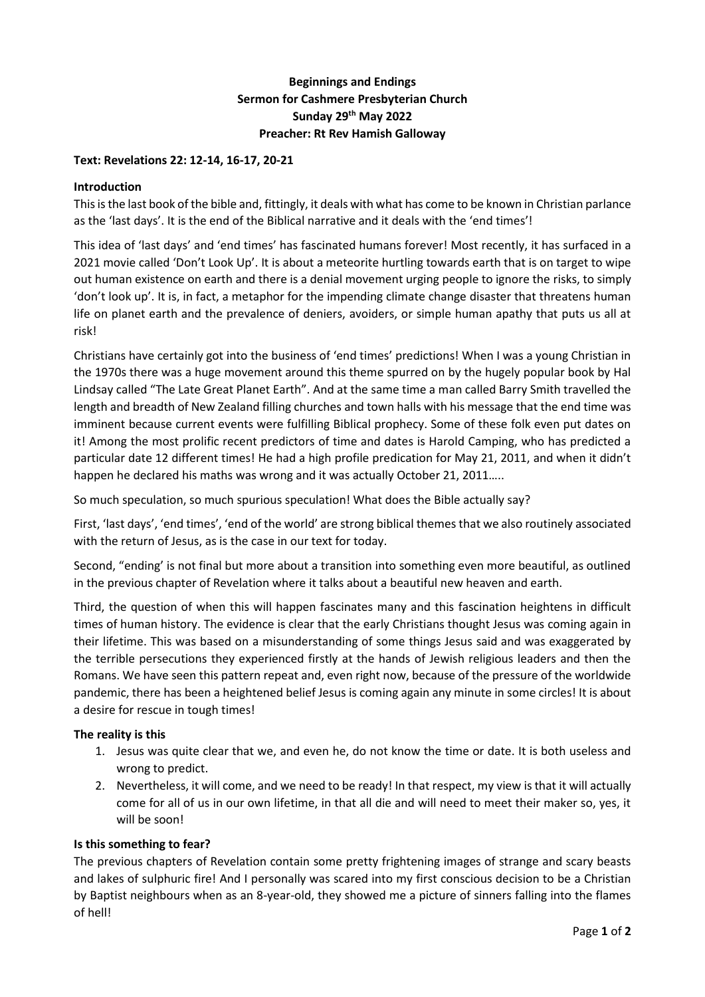# **Beginnings and Endings Sermon for Cashmere Presbyterian Church Sunday 29th May 2022 Preacher: Rt Rev Hamish Galloway**

### **Text: Revelations 22: 12-14, 16-17, 20-21**

#### **Introduction**

This is the last book of the bible and, fittingly, it deals with what has come to be known in Christian parlance as the 'last days'. It is the end of the Biblical narrative and it deals with the 'end times'!

This idea of 'last days' and 'end times' has fascinated humans forever! Most recently, it has surfaced in a 2021 movie called 'Don't Look Up'. It is about a meteorite hurtling towards earth that is on target to wipe out human existence on earth and there is a denial movement urging people to ignore the risks, to simply 'don't look up'. It is, in fact, a metaphor for the impending climate change disaster that threatens human life on planet earth and the prevalence of deniers, avoiders, or simple human apathy that puts us all at risk!

Christians have certainly got into the business of 'end times' predictions! When I was a young Christian in the 1970s there was a huge movement around this theme spurred on by the hugely popular book by Hal Lindsay called "The Late Great Planet Earth". And at the same time a man called Barry Smith travelled the length and breadth of New Zealand filling churches and town halls with his message that the end time was imminent because current events were fulfilling Biblical prophecy. Some of these folk even put dates on it! Among the most prolific recent predictors of time and dates is Harold Camping, who has predicted a particular date 12 different times! He had a high profile predication for May 21, 2011, and when it didn't happen he declared his maths was wrong and it was actually October 21, 2011.....

So much speculation, so much spurious speculation! What does the Bible actually say?

First, 'last days', 'end times', 'end of the world' are strong biblical themes that we also routinely associated with the return of Jesus, as is the case in our text for today.

Second, "ending' is not final but more about a transition into something even more beautiful, as outlined in the previous chapter of Revelation where it talks about a beautiful new heaven and earth.

Third, the question of when this will happen fascinates many and this fascination heightens in difficult times of human history. The evidence is clear that the early Christians thought Jesus was coming again in their lifetime. This was based on a misunderstanding of some things Jesus said and was exaggerated by the terrible persecutions they experienced firstly at the hands of Jewish religious leaders and then the Romans. We have seen this pattern repeat and, even right now, because of the pressure of the worldwide pandemic, there has been a heightened belief Jesus is coming again any minute in some circles! It is about a desire for rescue in tough times!

## **The reality is this**

- 1. Jesus was quite clear that we, and even he, do not know the time or date. It is both useless and wrong to predict.
- 2. Nevertheless, it will come, and we need to be ready! In that respect, my view is that it will actually come for all of us in our own lifetime, in that all die and will need to meet their maker so, yes, it will be soon!

#### **Is this something to fear?**

The previous chapters of Revelation contain some pretty frightening images of strange and scary beasts and lakes of sulphuric fire! And I personally was scared into my first conscious decision to be a Christian by Baptist neighbours when as an 8-year-old, they showed me a picture of sinners falling into the flames of hell!